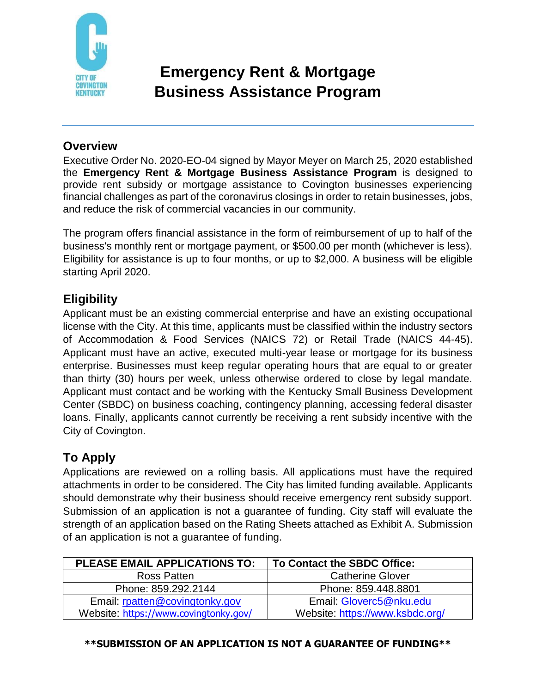

# **Emergency Rent & Mortgage Business Assistance Program**

### **Overview**

Executive Order No. 2020-EO-04 signed by Mayor Meyer on March 25, 2020 established the **Emergency Rent & Mortgage Business Assistance Program** is designed to provide rent subsidy or mortgage assistance to Covington businesses experiencing financial challenges as part of the coronavirus closings in order to retain businesses, jobs, and reduce the risk of commercial vacancies in our community.

The program offers financial assistance in the form of reimbursement of up to half of the business's monthly rent or mortgage payment, or \$500.00 per month (whichever is less). Eligibility for assistance is up to four months, or up to \$2,000. A business will be eligible starting April 2020.

## **Eligibility**

Applicant must be an existing commercial enterprise and have an existing occupational license with the City. At this time, applicants must be classified within the industry sectors of Accommodation & Food Services (NAICS 72) or Retail Trade (NAICS 44-45). Applicant must have an active, executed multi-year lease or mortgage for its business enterprise. Businesses must keep regular operating hours that are equal to or greater than thirty (30) hours per week, unless otherwise ordered to close by legal mandate. Applicant must contact and be working with the Kentucky Small Business Development Center (SBDC) on business coaching, contingency planning, accessing federal disaster loans. Finally, applicants cannot currently be receiving a rent subsidy incentive with the City of Covington.

## **To Apply**

Applications are reviewed on a rolling basis. All applications must have the required attachments in order to be considered. The City has limited funding available. Applicants should demonstrate why their business should receive emergency rent subsidy support. Submission of an application is not a guarantee of funding. City staff will evaluate the strength of an application based on the Rating Sheets attached as Exhibit A. Submission of an application is not a guarantee of funding.

| <b>PLEASE EMAIL APPLICATIONS TO:</b>  | To Contact the SBDC Office:     |
|---------------------------------------|---------------------------------|
| Ross Patten                           | <b>Catherine Glover</b>         |
| Phone: 859.292.2144                   | Phone: 859.448.8801             |
| Email: rpatten@covingtonky.gov        | Email: Gloverc5@nku.edu         |
| Website: https://www.covingtonky.gov/ | Website: https://www.ksbdc.org/ |

#### **\*\*SUBMISSION OF AN APPLICATION IS NOT A GUARANTEE OF FUNDING\*\***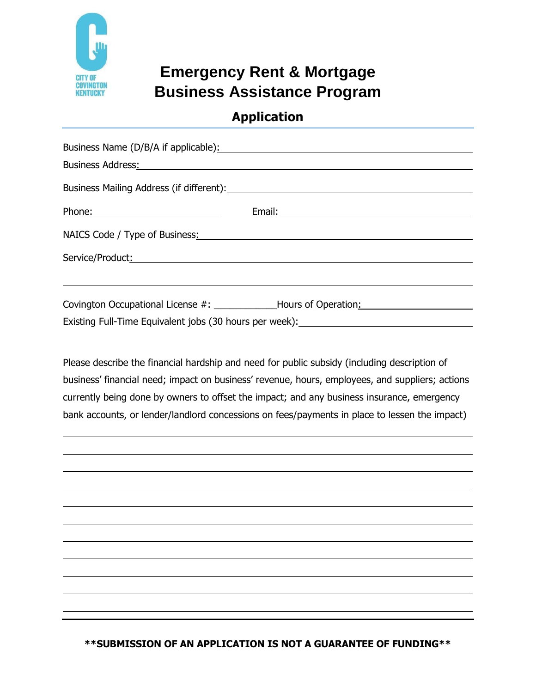

# **Emergency Rent & Mortgage Business Assistance Program**

## **Application**

| Business Name (D/B/A if applicable): Manual Community Contracts Name (D/B/A if applicable):                                                                                                                                   |                                                                                                                 |  |  |  |  |
|-------------------------------------------------------------------------------------------------------------------------------------------------------------------------------------------------------------------------------|-----------------------------------------------------------------------------------------------------------------|--|--|--|--|
| Business Address: National Assembly and Assembly and Assembly and Assembly and Assembly and Assembly and Assembly and Assembly and Assembly and Assembly and Assembly and Assembly and Assembly and Assembly and Assembly and |                                                                                                                 |  |  |  |  |
|                                                                                                                                                                                                                               |                                                                                                                 |  |  |  |  |
| Phone: 2008 2010 2010 2021 2022 2023 2024 2022 2022 2023 2024 2022 2023 2024 2022 2023 2024 2025 2026 2027 20                                                                                                                 | Email: 2008. 2009. 2010. 2010. 2010. 2010. 2010. 2011. 2012. 2012. 2012. 2012. 2014. 2014. 2014. 2014. 2014. 20 |  |  |  |  |
|                                                                                                                                                                                                                               | NAICS Code / Type of Business: Manual Manual Manual Manual Manual Manual Manual Manual Manual Manual Manual Ma  |  |  |  |  |
|                                                                                                                                                                                                                               |                                                                                                                 |  |  |  |  |
|                                                                                                                                                                                                                               |                                                                                                                 |  |  |  |  |
|                                                                                                                                                                                                                               | Covington Occupational License #: _______________Hours of Operation: ___________                                |  |  |  |  |
| Existing Full-Time Equivalent jobs (30 hours per week): ________________________                                                                                                                                              |                                                                                                                 |  |  |  |  |

Please describe the financial hardship and need for public subsidy (including description of business' financial need; impact on business' revenue, hours, employees, and suppliers; actions currently being done by owners to offset the impact; and any business insurance, emergency bank accounts, or lender/landlord concessions on fees/payments in place to lessen the impact)



**\*\*SUBMISSION OF AN APPLICATION IS NOT A GUARANTEE OF FUNDING\*\***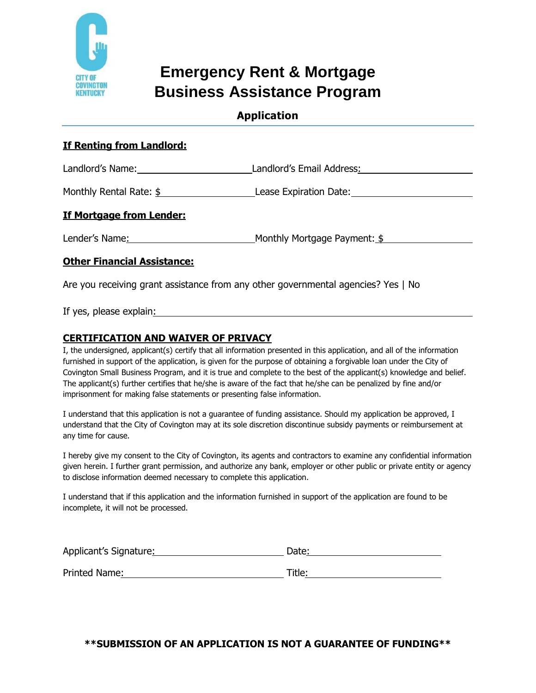

# **Emergency Rent & Mortgage Business Assistance Program**

#### **Application**

#### **If Renting from Landlord:**

| Landlord's Name: | Landlord's Email Address: |  |
|------------------|---------------------------|--|
|                  |                           |  |

Monthly Rental Rate: \$ Lease Expiration Date:

#### **If Mortgage from Lender:**

Lender's Name: Monthly Monthly Mortgage Payment: \$

#### **Other Financial Assistance:**

Are you receiving grant assistance from any other governmental agencies? Yes | No

If yes, please explain:

#### **CERTIFICATION AND WAIVER OF PRIVACY**

I, the undersigned, applicant(s) certify that all information presented in this application, and all of the information furnished in support of the application, is given for the purpose of obtaining a forgivable loan under the City of Covington Small Business Program, and it is true and complete to the best of the applicant(s) knowledge and belief. The applicant(s) further certifies that he/she is aware of the fact that he/she can be penalized by fine and/or imprisonment for making false statements or presenting false information.

I understand that this application is not a guarantee of funding assistance. Should my application be approved, I understand that the City of Covington may at its sole discretion discontinue subsidy payments or reimbursement at any time for cause.

I hereby give my consent to the City of Covington, its agents and contractors to examine any confidential information given herein. I further grant permission, and authorize any bank, employer or other public or private entity or agency to disclose information deemed necessary to complete this application.

I understand that if this application and the information furnished in support of the application are found to be incomplete, it will not be processed.

| Applicant's Signature: | Date:  |
|------------------------|--------|
|                        |        |
| Printed Name:          | Title: |

**\*\*SUBMISSION OF AN APPLICATION IS NOT A GUARANTEE OF FUNDING\*\***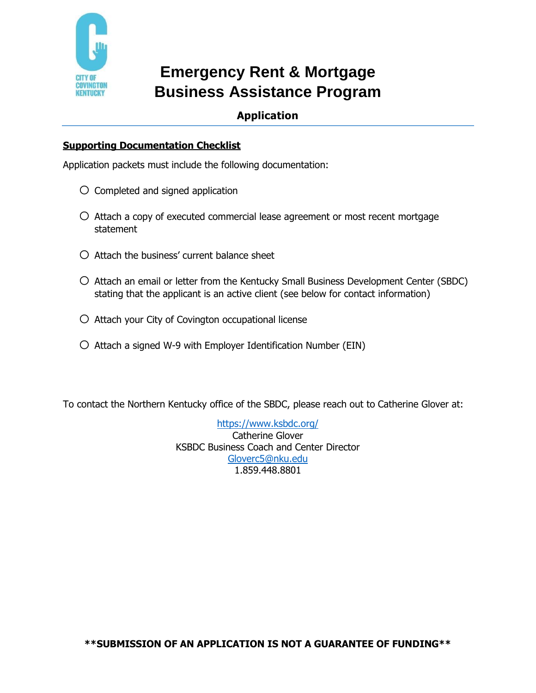

# **Emergency Rent & Mortgage Business Assistance Program**

#### **Application**

#### **Supporting Documentation Checklist**

Application packets must include the following documentation:

- $\bigcirc$  Completed and signed application
- $\circ$  Attach a copy of executed commercial lease agreement or most recent mortgage statement
- $O$  Attach the business' current balance sheet
- $\overline{O}$  Attach an email or letter from the Kentucky Small Business Development Center (SBDC) stating that the applicant is an active client (see below for contact information)
- o Attach your City of Covington occupational license
- $\circ$  Attach a signed W-9 with Employer Identification Number (EIN)

To contact the Northern Kentucky office of the SBDC, please reach out to Catherine Glover at:

<https://www.ksbdc.org/> Catherine Glover KSBDC Business Coach and Center Director [Gloverc5@nku.edu](mailto:Gloverc5@nku.edu) 1.859.448.8801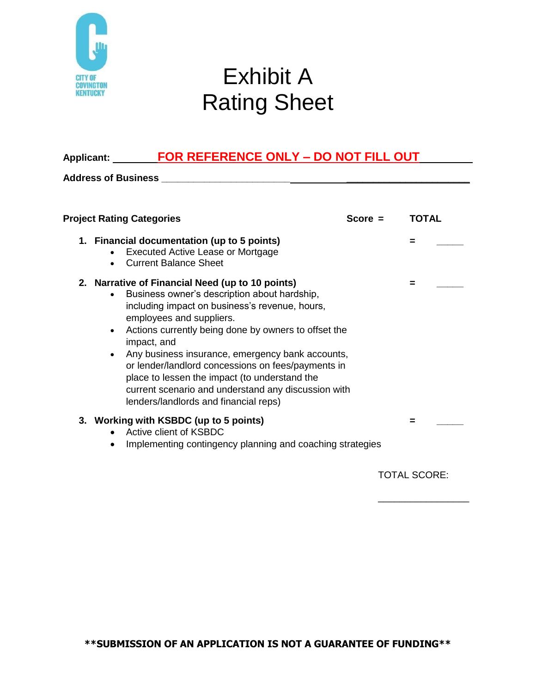

# Exhibit A Rating Sheet

## **Applicant: FOR REFERENCE ONLY – DO NOT FILL OUT**

**Address of Business \_\_\_\_\_\_\_\_\_\_\_\_\_\_\_\_\_\_\_\_\_\_\_\_ \_\_\_\_\_\_\_\_\_\_\_\_\_\_\_\_\_\_\_\_\_\_\_**

| <b>Project Rating Categories</b>                                            |                                                                                                                                                                                                                                                                                                                                                                                                                                                                       | $Score =$ | ΤΩΤΑΙ        |  |
|-----------------------------------------------------------------------------|-----------------------------------------------------------------------------------------------------------------------------------------------------------------------------------------------------------------------------------------------------------------------------------------------------------------------------------------------------------------------------------------------------------------------------------------------------------------------|-----------|--------------|--|
| 1. Financial documentation (up to 5 points)<br><b>Current Balance Sheet</b> | Executed Active Lease or Mortgage                                                                                                                                                                                                                                                                                                                                                                                                                                     |           | =            |  |
| employees and suppliers.<br>impact, and                                     | 2. Narrative of Financial Need (up to 10 points)<br>Business owner's description about hardship,<br>including impact on business's revenue, hours,<br>Actions currently being done by owners to offset the<br>Any business insurance, emergency bank accounts,<br>or lender/landlord concessions on fees/payments in<br>place to lessen the impact (to understand the<br>current scenario and understand any discussion with<br>lenders/landlords and financial reps) |           | =            |  |
| <b>Working with KSBDC (up to 5 points)</b><br>3.<br>Active client of KSBDC  | Implementing contingency planning and coaching strategies                                                                                                                                                                                                                                                                                                                                                                                                             |           |              |  |
|                                                                             |                                                                                                                                                                                                                                                                                                                                                                                                                                                                       |           | TOTAL SCORE: |  |

**\*\*SUBMISSION OF AN APPLICATION IS NOT A GUARANTEE OF FUNDING\*\***

\_\_\_\_\_\_\_\_\_\_\_\_\_\_\_\_\_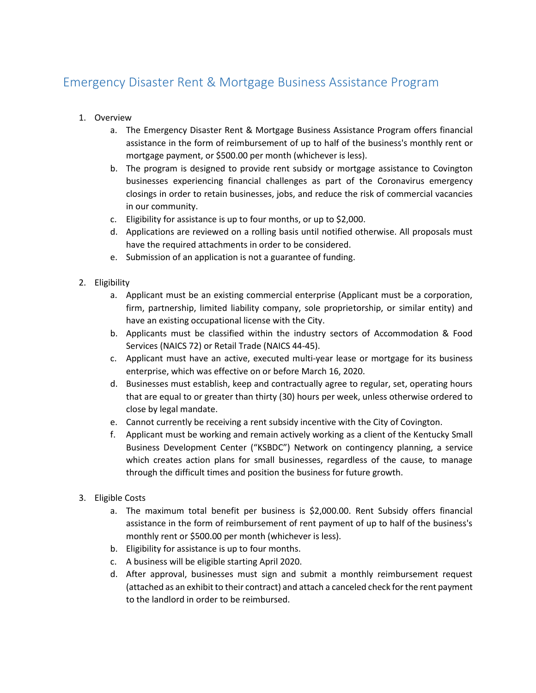# Emergency Disaster Rent & Mortgage Business Assistance Program

- 1. Overview
	- a. The Emergency Disaster Rent & Mortgage Business Assistance Program offers financial assistance in the form of reimbursement of up to half of the business's monthly rent or mortgage payment, or \$500.00 per month (whichever is less).
	- b. The program is designed to provide rent subsidy or mortgage assistance to Covington businesses experiencing financial challenges as part of the Coronavirus emergency closings in order to retain businesses, jobs, and reduce the risk of commercial vacancies in our community.
	- c. Eligibility for assistance is up to four months, or up to \$2,000.
	- d. Applications are reviewed on a rolling basis until notified otherwise. All proposals must have the required attachments in order to be considered.
	- e. Submission of an application is not a guarantee of funding.
- 2. Eligibility
	- a. Applicant must be an existing commercial enterprise (Applicant must be a corporation, firm, partnership, limited liability company, sole proprietorship, or similar entity) and have an existing occupational license with the City.
	- b. Applicants must be classified within the industry sectors of Accommodation & Food Services (NAICS 72) or Retail Trade (NAICS 44-45).
	- c. Applicant must have an active, executed multi-year lease or mortgage for its business enterprise, which was effective on or before March 16, 2020.
	- d. Businesses must establish, keep and contractually agree to regular, set, operating hours that are equal to or greater than thirty (30) hours per week, unless otherwise ordered to close by legal mandate.
	- e. Cannot currently be receiving a rent subsidy incentive with the City of Covington.
	- f. Applicant must be working and remain actively working as a client of the Kentucky Small Business Development Center ("KSBDC") Network on contingency planning, a service which creates action plans for small businesses, regardless of the cause, to manage through the difficult times and position the business for future growth.
- 3. Eligible Costs
	- a. The maximum total benefit per business is \$2,000.00. Rent Subsidy offers financial assistance in the form of reimbursement of rent payment of up to half of the business's monthly rent or \$500.00 per month (whichever is less).
	- b. Eligibility for assistance is up to four months.
	- c. A business will be eligible starting April 2020.
	- d. After approval, businesses must sign and submit a monthly reimbursement request (attached as an exhibit to their contract) and attach a canceled check for the rent payment to the landlord in order to be reimbursed.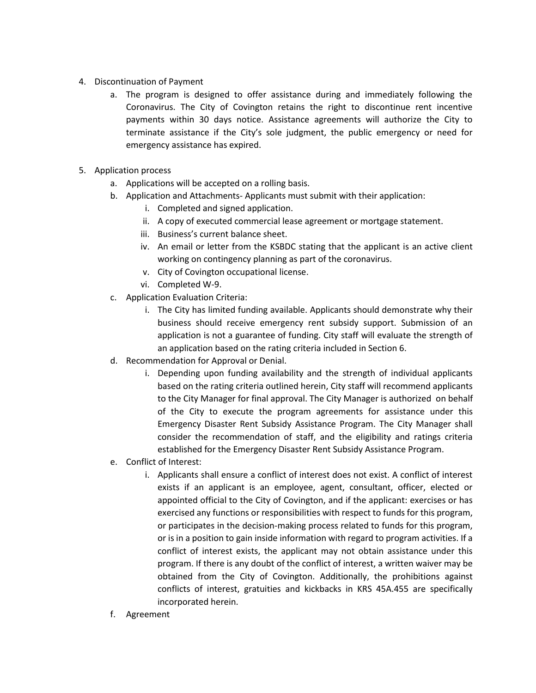- 4. Discontinuation of Payment
	- a. The program is designed to offer assistance during and immediately following the Coronavirus. The City of Covington retains the right to discontinue rent incentive payments within 30 days notice. Assistance agreements will authorize the City to terminate assistance if the City's sole judgment, the public emergency or need for emergency assistance has expired.
- 5. Application process
	- a. Applications will be accepted on a rolling basis.
	- b. Application and Attachments- Applicants must submit with their application:
		- i. Completed and signed application.
		- ii. A copy of executed commercial lease agreement or mortgage statement.
		- iii. Business's current balance sheet.
		- iv. An email or letter from the KSBDC stating that the applicant is an active client working on contingency planning as part of the coronavirus.
		- v. City of Covington occupational license.
		- vi. Completed W-9.
	- c. Application Evaluation Criteria:
		- i. The City has limited funding available. Applicants should demonstrate why their business should receive emergency rent subsidy support. Submission of an application is not a guarantee of funding. City staff will evaluate the strength of an application based on the rating criteria included in Section 6.
	- d. Recommendation for Approval or Denial.
		- i. Depending upon funding availability and the strength of individual applicants based on the rating criteria outlined herein, City staff will recommend applicants to the City Manager for final approval. The City Manager is authorized on behalf of the City to execute the program agreements for assistance under this Emergency Disaster Rent Subsidy Assistance Program. The City Manager shall consider the recommendation of staff, and the eligibility and ratings criteria established for the Emergency Disaster Rent Subsidy Assistance Program.
	- e. Conflict of Interest:
		- i. Applicants shall ensure a conflict of interest does not exist. A conflict of interest exists if an applicant is an employee, agent, consultant, officer, elected or appointed official to the City of Covington, and if the applicant: exercises or has exercised any functions or responsibilities with respect to funds for this program, or participates in the decision-making process related to funds for this program, or is in a position to gain inside information with regard to program activities. If a conflict of interest exists, the applicant may not obtain assistance under this program. If there is any doubt of the conflict of interest, a written waiver may be obtained from the City of Covington. Additionally, the prohibitions against conflicts of interest, gratuities and kickbacks in KRS 45A.455 are specifically incorporated herein.
	- f. Agreement